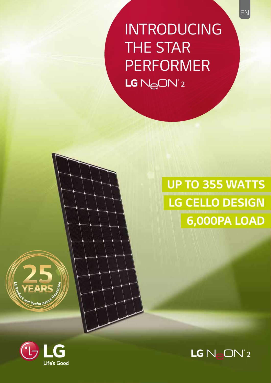**INTRODUCING THE STAR PERFORMER** LG N<sub>e</sub>ON<sup>°2</sup>

> **UP TO 355 WATTS LG CELLO DESIGN** 6,000PA LOAD





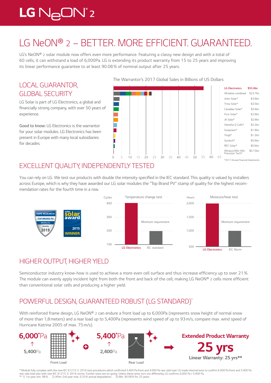# $LG$   $N_{\ominus}$ O $N^{\circ}$ 2

# *LG NeON® 2 – BETTER. MORE EFFICIENT. GUARANTEED.*

LG's NeON<sup>®</sup> 2 solar module now offers even more performance. Featuring a classy new design and with a total of *60 cells, it can withstand a load of 6,000Pa. LG is extending its product warranty from 15 to 25 years and improving its linear performance guarantee to at least 90.08 % of nominal output after 25 years.*

# *LOCAL GUARANTOR, GLOBAL SECURITY*

*LG Solar is part of LG Electronics, a global and*  financially strong company, with over 50 years of *experience.* 

**Good to know:** *LG Electronics is the warrantor for your solar modules. LG Electronics has been present in Europe with many local subsidiaries for decades.*

#### The Warrantor's 2017 Global Sales in Billions of US Dollars



# *EXCELLENT QUALITY, INDEPENDENTLY TESTED*

You can rely on LG. We test our products with double the intensity specified in the IEC standard. This quality is valued by installers across Europe, which is why they have awarded our LG solar modules the "Top Brand PV" stamp of quality for the highest recom*mendation rates for the fourth time in a row.*



# *HIGHER OUTPUT, HIGHER YIELD*

Semiconductor industry know-how is used to achieve a more even cell surface and thus increase efficiency up to over 21%. *The module can evenly apply incident light from both the front and back of the cell, making LG NeON® 2* cells more efficient *than conventional solar cells and producing a higher yield.* 

# *POWERFUL DESIGN, GUARANTEED ROBUST (LG STANDARD)\**

*With reinforced frame design, LG NeON® 2 can endure a front load up to 6,000Pa (represents snow height of normal snow of more than 1,8 meters) and a rear load up to 5,400Pa (represents wind speed of up to 93 m/s, compare max. wind speed of Hurricane Katrina 2005 of max. 75m/s).*



\* Module fully complies with the new IEC 61215-2: 2016 test procedures which confirmed 5.400 Pa front and 4.000 Pa rear side load. LG made internal tests to confirm 6.000 Pa front and 5.400 Pa rear side load also with new IEC 61215-2: 2016 norms. Further tests are on-going. Unless these tests turn out differently, LG confirms 6.000 Pa / 5.400 Pa.<br>\*\* 1) 1st year. min. 98%. 2) After 2nd year. max. 0.33% annual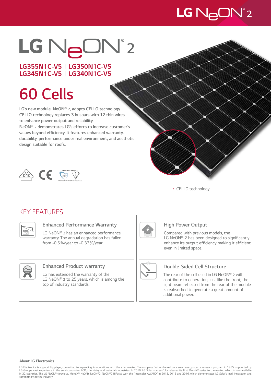# LG N<sub>e</sub>ON<sup>°</sup>2

# LG NeON®2

# *LG355N1C-V5 I LG350N1C-V5 LG345N1C-V5 I LG340N1C-V5*

# *60 Cells*

*LG's new module, NeON® 2, adopts CELLO* **technology.**  *CELLO* **technology replaces 3 busbars with 12 thin wires to enhance power output and reliability.** 

*NeON® 2 demonstrates LG's efforts to increase customer's*  **values beyond efficiency. It features enhanced warranty, durability, performance under real environment, and aesthetic design suitable for roofs.**



*CELLO technology*

# *KEY FEATURES*



## **Enhanced Performance Warranty**

*LG NeON® 2 has an enhanced performance warranty. The annual degradation has fallen from -0.5%/year to -0.33%/year.* 



## **Enhanced Product warranty**

*LG has extended the warranty of the LG NeON® 2 to 25 years, which is among the top of industry standards.*



## *High Power Output*

*Compared with previous models, the*  LG NeON® 2 has been designed to significantly enhance its output efficiency making it efficient *even in limited space.*



## *Double-Sided Cell Structure*

*The rear of the cell used in LG NeON® 2 will contribute to generation, just like the front; the*  light beam reflected from the rear of the module *is reabsorbed to generate a great amount of additional power.*

#### *About LG Electronics*

LG Electronics is a global big player, committed to expanding its operations with the solar market. The company first embarked on a solar energy source research program in 1985, supported by<br>LG Grountries. The LG NeON® (p *commitment to the industry.*